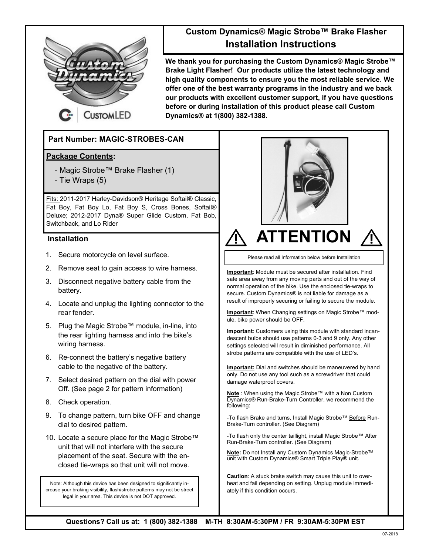

## **Custom Dynamics® Magic Strobe™ Brake Flasher Installation Instructions**

**We thank you for purchasing the Custom Dynamics® Magic Strobe™ Brake Light Flasher! Our products utilize the latest technology and high quality components to ensure you the most reliable service. We offer one of the best warranty programs in the industry and we back our products with excellent customer support, if you have questions before or during installation of this product please call Custom Dynamics® at 1(800) 382-1388.**

### **Part Number: MAGIC-STROBES-CAN**

#### **Package Contents:**

- Magic Strobe™ Brake Flasher (1)
- Tie Wraps (5)

Fits: 2011-2017 Harley-Davidson® Heritage Softail® Classic, Fat Boy, Fat Boy Lo, Fat Boy S, Cross Bones, Softail® Deluxe; 2012-2017 Dyna® Super Glide Custom, Fat Bob, Switchback, and Lo Rider

#### **Installation**

- 1. Secure motorcycle on level surface.
- 2. Remove seat to gain access to wire harness.
- 3. Disconnect negative battery cable from the battery.
- 4. Locate and unplug the lighting connector to the rear fender.
- 5. Plug the Magic Strobe™ module, in-line, into the rear lighting harness and into the bike's wiring harness.
- 6. Re-connect the battery's negative battery cable to the negative of the battery.
- 7. Select desired pattern on the dial with power Off. (See page 2 for pattern information)
- 8. Check operation.
- 9. To change pattern, turn bike OFF and change dial to desired pattern.
- 10. Locate a secure place for the Magic Strobe™ unit that will not interfere with the secure placement of the seat. Secure with the enclosed tie-wraps so that unit will not move.

Note: Although this device has been designed to significantly increase your braking visibility, flash/strobe patterns may not be street legal in your area. This device is not DOT approved.



# **ATTENTION**

Please read all Information below before Installation

**Important**: Module must be secured after installation. Find safe area away from any moving parts and out of the way of normal operation of the bike. Use the enclosed tie-wraps to secure. Custom Dynamics® is not liable for damage as a result of improperly securing or failing to secure the module.

**Important**: When Changing settings on Magic Strobe™ module, bike power should be OFF.

**Important**: Customers using this module with standard incandescent bulbs should use patterns 0-3 and 9 only. Any other settings selected will result in diminished performance. All strobe patterns are compatible with the use of LED's.

**Important:** Dial and switches should be maneuvered by hand only. Do not use any tool such as a screwdriver that could damage waterproof covers.

**Note** : When using the Magic Strobe™ with a Non Custom Dynamics® Run-Brake-Turn Controller, we recommend the following:

-To flash Brake and turns, Install Magic Strobe™ Before Run-Brake-Turn controller. (See Diagram)

-To flash only the center taillight, install Magic Strobe™ After Run-Brake-Turn controller. (See Diagram)

**Note:** Do not Install any Custom Dynamics Magic-Strobe™ unit with Custom Dynamics® Smart Triple Play® unit.

**Caution**: A stuck brake switch may cause this unit to overheat and fail depending on setting. Unplug module immediately if this condition occurs.

**Questions? Call us at: 1 (800) 382-1388 M-TH 8:30AM-5:30PM / FR 9:30AM-5:30PM EST**